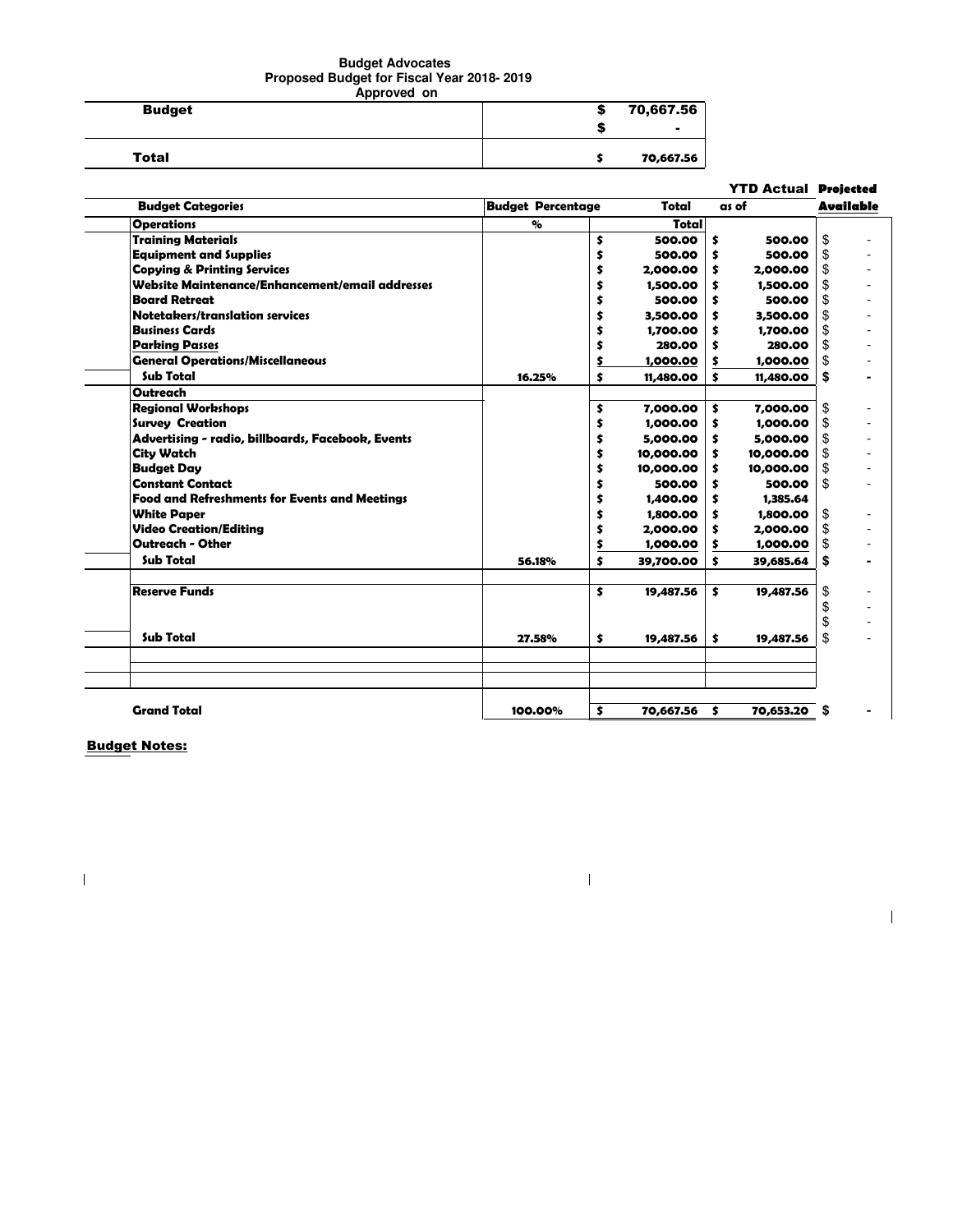## **Budget Advocates Proposed Budget for Fiscal Year 2018- 2019 Approved on**

| <b>ANNIVIVY VII</b> |      |           |  |  |  |
|---------------------|------|-----------|--|--|--|
| <b>Budget</b>       | - 33 | 70,667.56 |  |  |  |
|                     |      |           |  |  |  |
| <b>Total</b>        |      | 70,667.56 |  |  |  |

|                                                      |                           |                 | <b>YTD Actual Projected</b> |                  |
|------------------------------------------------------|---------------------------|-----------------|-----------------------------|------------------|
| <b>Budget Categories</b>                             | <b>Budget Percentage</b>  | Total           | as of                       | <b>Available</b> |
| <b>Operations</b>                                    | $\mathbf{Q}_{\mathbf{G}}$ | Totall          |                             |                  |
| <b>Training Materials</b>                            |                           | \$<br>500.00    | \$<br>500.00                | \$               |
| <b>Equipment and Supplies</b>                        |                           | \$<br>500.00    | \$<br>500.00                | \$               |
| <b>Copying &amp; Printing Services</b>               |                           | \$<br>2,000.00  | \$<br>2,000.00              | \$               |
| Website Maintenance/Enhancement/email addresses      |                           | \$<br>1,500.00  | \$<br>1,500.00              | \$               |
| <b>Board Retreat</b>                                 |                           | \$<br>500.00    | \$<br>500.00                | \$               |
| Notetakers/translation services                      |                           | \$<br>3,500.00  | \$<br>3,500.00              | \$               |
| <b>Business Cards</b>                                |                           | \$<br>1,700.00  | 1,700.00<br>\$              | \$               |
| <b>Parking Passes</b>                                |                           | 280.00          | \$<br>280.00                | \$               |
| <b>General Operations/Miscellaneous</b>              |                           | \$<br>1,000.00  | \$<br>1,000.00              | \$               |
| <b>Sub Total</b>                                     | 16.25%                    | \$<br>11,480.00 | \$<br>11,480.00             | \$               |
| <b>Outreach</b>                                      |                           |                 |                             |                  |
| <b>Regional Workshops</b>                            |                           | \$<br>7,000.00  | \$<br>7,000.00              | \$               |
| <b>Survey Creation</b>                               |                           | \$<br>1,000.00  | \$<br>1,000.00              | \$               |
| Advertising - radio, billboards, Facebook, Events    |                           | \$<br>5,000.00  | \$<br>5,000.00              | \$               |
| <b>City Watch</b>                                    |                           | \$<br>10,000.00 | \$<br>10,000.00             | \$               |
| <b>Budget Day</b>                                    |                           | \$<br>10,000.00 | \$<br>10,000.00             | \$               |
| <b>Constant Contact</b>                              |                           | \$<br>500.00    | 500.00<br>\$                | \$               |
| <b>Food and Refreshments for Events and Meetings</b> |                           | \$<br>1,400.00  | \$<br>1,385.64              |                  |
| <b>White Paper</b>                                   |                           | \$<br>1,800.00  | \$<br>1,800.00              | \$               |
| <b>Video Creation/Editina</b>                        |                           | \$<br>2,000.00  | \$<br>2,000.00              | \$               |
| <b>Outreach - Other</b>                              |                           | \$<br>1,000.00  | \$<br>1,000.00              | \$               |
| <b>Sub Total</b>                                     | 56.18%                    | \$<br>39,700.00 | \$<br>39,685.64             | \$               |
| <b>Reserve Funds</b>                                 |                           | \$<br>19,487.56 | \$<br>19,487.56             | \$               |
|                                                      |                           |                 |                             | \$               |
| Sub Total                                            | 27.58%                    | \$<br>19,487.56 | \$<br>19,487.56             | \$<br>\$         |
|                                                      |                           |                 |                             |                  |
| <b>Grand Total</b>                                   | 100.00%                   | \$<br>70,667.56 | 70,653.20 \$<br>\$          |                  |

 $\mathbf I$ 

 $\overline{1}$ 

Budget Notes:

 $\begin{array}{c} \rule{0pt}{2ex} \rule{0pt}{2ex} \rule{0pt}{2ex} \rule{0pt}{2ex} \rule{0pt}{2ex} \rule{0pt}{2ex} \rule{0pt}{2ex} \rule{0pt}{2ex} \rule{0pt}{2ex} \rule{0pt}{2ex} \rule{0pt}{2ex} \rule{0pt}{2ex} \rule{0pt}{2ex} \rule{0pt}{2ex} \rule{0pt}{2ex} \rule{0pt}{2ex} \rule{0pt}{2ex} \rule{0pt}{2ex} \rule{0pt}{2ex} \rule{0pt}{2ex} \rule{0pt}{2ex} \rule{0pt}{2ex} \rule{0pt}{2ex} \rule{0pt}{$